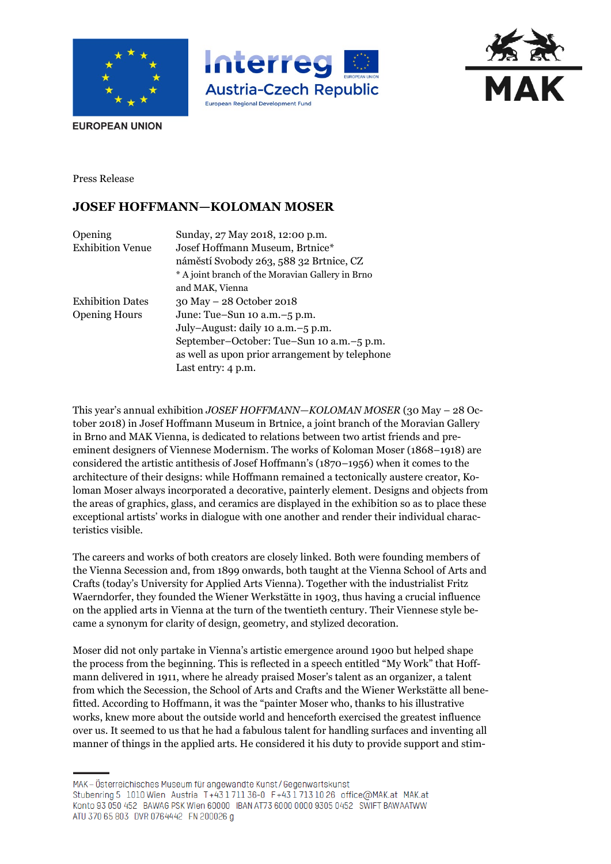





**EUROPEAN UNION** 

Press Release

## **JOSEF HOFFMANN—KOLOMAN MOSER**

| Opening                 | Sunday, 27 May 2018, 12:00 p.m.                  |
|-------------------------|--------------------------------------------------|
| <b>Exhibition Venue</b> | Josef Hoffmann Museum, Brtnice*                  |
|                         | náměstí Svobody 263, 588 32 Brtnice, CZ          |
|                         | * A joint branch of the Moravian Gallery in Brno |
|                         | and MAK, Vienna                                  |
| <b>Exhibition Dates</b> | 30 May - 28 October 2018                         |
| <b>Opening Hours</b>    | June: Tue-Sun 10 a.m. -5 p.m.                    |
|                         | July-August: daily 10 a.m. -5 p.m.               |
|                         | September-October: Tue-Sun 10 a.m.-5 p.m.        |
|                         | as well as upon prior arrangement by telephone   |
|                         | Last entry: 4 p.m.                               |
|                         |                                                  |

This year's annual exhibition *JOSEF HOFFMANN—KOLOMAN MOSER* (30 May – 28 October 2018) in Josef Hoffmann Museum in Brtnice, a joint branch of the Moravian Gallery in Brno and MAK Vienna, is dedicated to relations between two artist friends and preeminent designers of Viennese Modernism. The works of Koloman Moser (1868–1918) are considered the artistic antithesis of Josef Hoffmann's (1870–1956) when it comes to the architecture of their designs: while Hoffmann remained a tectonically austere creator, Koloman Moser always incorporated a decorative, painterly element. Designs and objects from the areas of graphics, glass, and ceramics are displayed in the exhibition so as to place these exceptional artists' works in dialogue with one another and render their individual characteristics visible.

The careers and works of both creators are closely linked. Both were founding members of the Vienna Secession and, from 1899 onwards, both taught at the Vienna School of Arts and Crafts (today's University for Applied Arts Vienna). Together with the industrialist Fritz Waerndorfer, they founded the Wiener Werkstätte in 1903, thus having a crucial influence on the applied arts in Vienna at the turn of the twentieth century. Their Viennese style became a synonym for clarity of design, geometry, and stylized decoration.

Moser did not only partake in Vienna's artistic emergence around 1900 but helped shape the process from the beginning. This is reflected in a speech entitled "My Work" that Hoffmann delivered in 1911, where he already praised Moser's talent as an organizer, a talent from which the Secession, the School of Arts and Crafts and the Wiener Werkstätte all benefitted. According to Hoffmann, it was the "painter Moser who, thanks to his illustrative works, knew more about the outside world and henceforth exercised the greatest influence over us. It seemed to us that he had a fabulous talent for handling surfaces and inventing all manner of things in the applied arts. He considered it his duty to provide support and stim-

MAK – Österreichisches Museum für angewandte Kunst/Gegenwartskunst Stubenring 5 1010 Wien Austria T+43 1711 36-0 F+43 1713 10 26 office@MAK.at MAK.at Konto 93 050 452 BAWAG PSK Wien 60000 IBAN AT73 6000 0000 9305 0452 SWIFT BAWAATWW ATU 370 65 803 DVR 0764442 FN 200026 g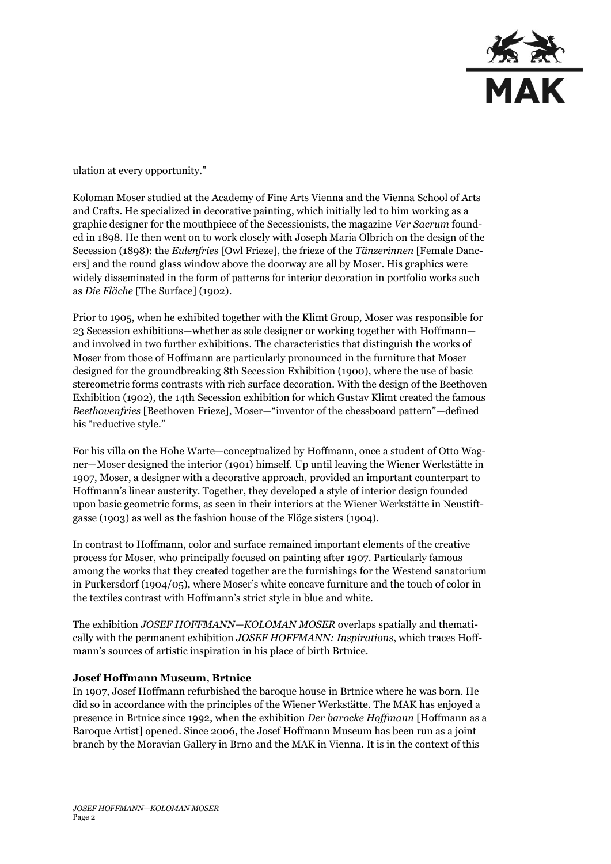

ulation at every opportunity."

Koloman Moser studied at the Academy of Fine Arts Vienna and the Vienna School of Arts and Crafts. He specialized in decorative painting, which initially led to him working as a graphic designer for the mouthpiece of the Secessionists, the magazine *Ver Sacrum* founded in 1898. He then went on to work closely with Joseph Maria Olbrich on the design of the Secession (1898): the *Eulenfries* [Owl Frieze], the frieze of the *Tänzerinnen* [Female Dancers] and the round glass window above the doorway are all by Moser. His graphics were widely disseminated in the form of patterns for interior decoration in portfolio works such as *Die Fläche* [The Surface] (1902).

Prior to 1905, when he exhibited together with the Klimt Group, Moser was responsible for 23 Secession exhibitions—whether as sole designer or working together with Hoffmann and involved in two further exhibitions. The characteristics that distinguish the works of Moser from those of Hoffmann are particularly pronounced in the furniture that Moser designed for the groundbreaking 8th Secession Exhibition (1900), where the use of basic stereometric forms contrasts with rich surface decoration. With the design of the Beethoven Exhibition (1902), the 14th Secession exhibition for which Gustav Klimt created the famous *Beethovenfries* [Beethoven Frieze], Moser—"inventor of the chessboard pattern"—defined his "reductive style."

For his villa on the Hohe Warte—conceptualized by Hoffmann, once a student of Otto Wagner—Moser designed the interior (1901) himself. Up until leaving the Wiener Werkstätte in 1907, Moser, a designer with a decorative approach, provided an important counterpart to Hoffmann's linear austerity. Together, they developed a style of interior design founded upon basic geometric forms, as seen in their interiors at the Wiener Werkstätte in Neustiftgasse (1903) as well as the fashion house of the Flöge sisters (1904).

In contrast to Hoffmann, color and surface remained important elements of the creative process for Moser, who principally focused on painting after 1907. Particularly famous among the works that they created together are the furnishings for the Westend sanatorium in Purkersdorf (1904/05), where Moser's white concave furniture and the touch of color in the textiles contrast with Hoffmann's strict style in blue and white.

The exhibition *JOSEF HOFFMANN—KOLOMAN MOSER* overlaps spatially and thematically with the permanent exhibition *JOSEF HOFFMANN: Inspirations*, which traces Hoffmann's sources of artistic inspiration in his place of birth Brtnice.

## **Josef Hoffmann Museum, Brtnice**

In 1907, Josef Hoffmann refurbished the baroque house in Brtnice where he was born. He did so in accordance with the principles of the Wiener Werkstätte. The MAK has enjoyed a presence in Brtnice since 1992, when the exhibition *Der barocke Hoffmann* [Hoffmann as a Baroque Artist] opened. Since 2006, the Josef Hoffmann Museum has been run as a joint branch by the Moravian Gallery in Brno and the MAK in Vienna. It is in the context of this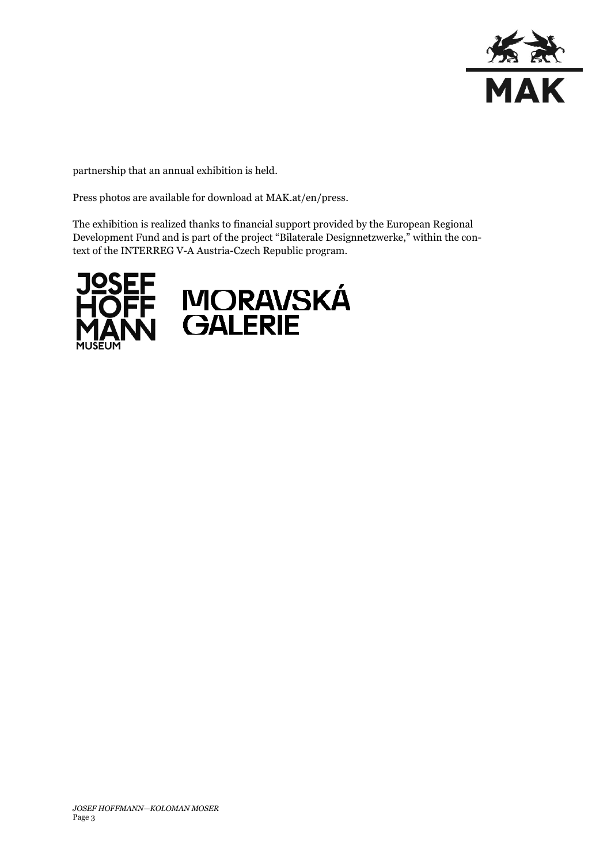

partnership that an annual exhibition is held.

Press photos are available for download at MAK.at/en/press.

The exhibition is realized thanks to financial support provided by the European Regional Development Fund and is part of the project "Bilaterale Designnetzwerke," within the context of the INTERREG V-A Austria-Czech Republic program.